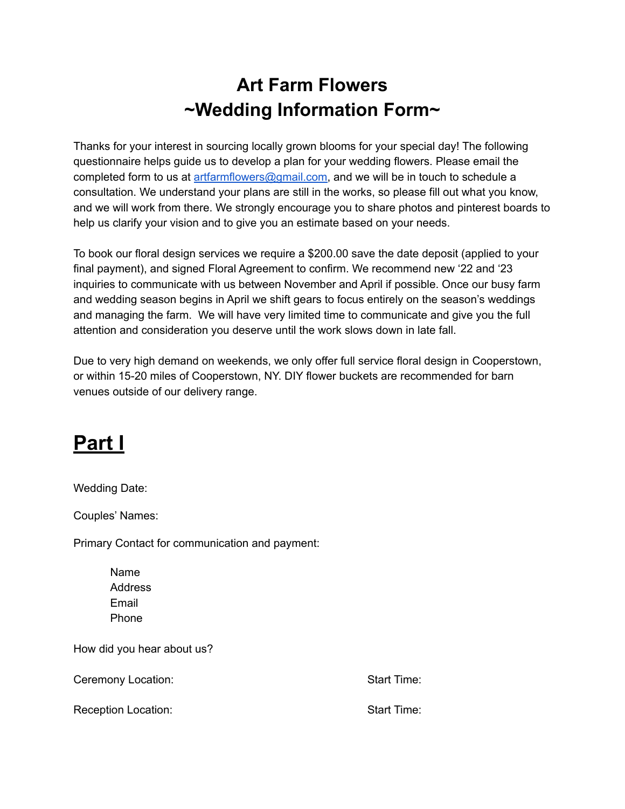### **Art Farm Flowers ~Wedding Information Form~**

Thanks for your interest in sourcing locally grown blooms for your special day! The following questionnaire helps guide us to develop a plan for your wedding flowers. Please email the completed form to us at [artfarmflowers@gmail.com,](mailto:artfarmflowes@gmail.com) and we will be in touch to schedule a consultation. We understand your plans are still in the works, so please fill out what you know, and we will work from there. We strongly encourage you to share photos and pinterest boards to help us clarify your vision and to give you an estimate based on your needs.

To book our floral design services we require a \$200.00 save the date deposit (applied to your final payment), and signed Floral Agreement to confirm. We recommend new '22 and '23 inquiries to communicate with us between November and April if possible. Once our busy farm and wedding season begins in April we shift gears to focus entirely on the season's weddings and managing the farm. We will have very limited time to communicate and give you the full attention and consideration you deserve until the work slows down in late fall.

Due to very high demand on weekends, we only offer full service floral design in Cooperstown, or within 15-20 miles of Cooperstown, NY. DIY flower buckets are recommended for barn venues outside of our delivery range.

## **Part I**

Wedding Date:

Couples' Names:

Primary Contact for communication and payment:

Name **Address** Email Phone

How did you hear about us?

Ceremony Location: Start Time:

Reception Location: Start Time: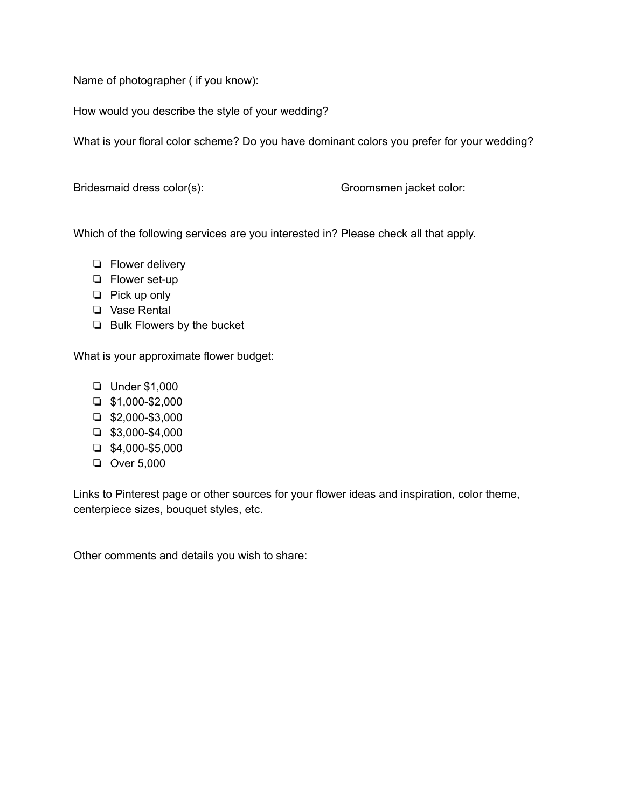Name of photographer ( if you know):

How would you describe the style of your wedding?

What is your floral color scheme? Do you have dominant colors you prefer for your wedding?

Bridesmaid dress color(s): Groomsmen jacket color:

Which of the following services are you interested in? Please check all that apply.

- ❏ Flower delivery
- ❏ Flower set-up
- ❏ Pick up only
- ❏ Vase Rental
- ❏ Bulk Flowers by the bucket

What is your approximate flower budget:

- ❏ Under \$1,000
- ❏ \$1,000-\$2,000
- ❏ \$2,000-\$3,000
- ❏ \$3,000-\$4,000
- ❏ \$4,000-\$5,000
- ❏ Over 5,000

Links to Pinterest page or other sources for your flower ideas and inspiration, color theme, centerpiece sizes, bouquet styles, etc.

Other comments and details you wish to share: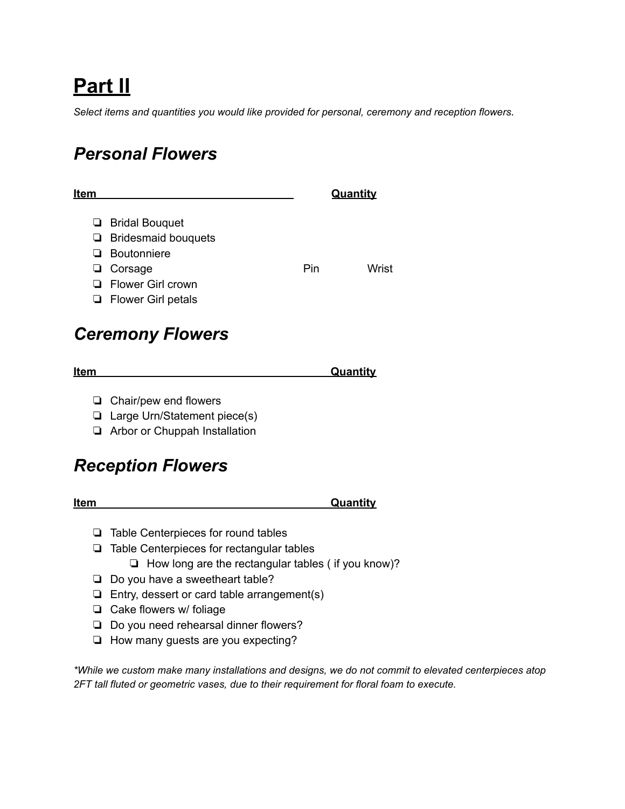# **Part II**

*Select items and quantities you would like provided for personal, ceremony and reception flowers.*

#### *Personal Flowers*

| Item |                                 |     | Quantity |
|------|---------------------------------|-----|----------|
|      | <b>Example 3</b> Bridal Bouquet |     |          |
|      | $\Box$ Bridesmaid bouquets      |     |          |
|      | $\Box$ Boutonniere              |     |          |
|      | $\Box$ Corsage                  | Pin | Wrist    |
|      | $\Box$ Flower Girl crown        |     |          |
|      | $\Box$ Flower Girl petals       |     |          |

#### *Ceremony Flowers*

- ❏ Chair/pew end flowers
- ❏ Large Urn/Statement piece(s)
- ❏ Arbor or Chuppah Installation

#### *Reception Flowers*

| Item | Quantity |
|------|----------|
|      |          |

- ❏ Table Centerpieces for round tables
- ❏ Table Centerpieces for rectangular tables
	- ❏ How long are the rectangular tables ( if you know)?
- ❏ Do you have a sweetheart table?
- ❏ Entry, dessert or card table arrangement(s)
- ❏ Cake flowers w/ foliage
- ❏ Do you need rehearsal dinner flowers?
- ❏ How many guests are you expecting?

*\*While we custom make many installations and designs, we do not commit to elevated centerpieces atop 2FT tall fluted or geometric vases, due to their requirement for floral foam to execute.*